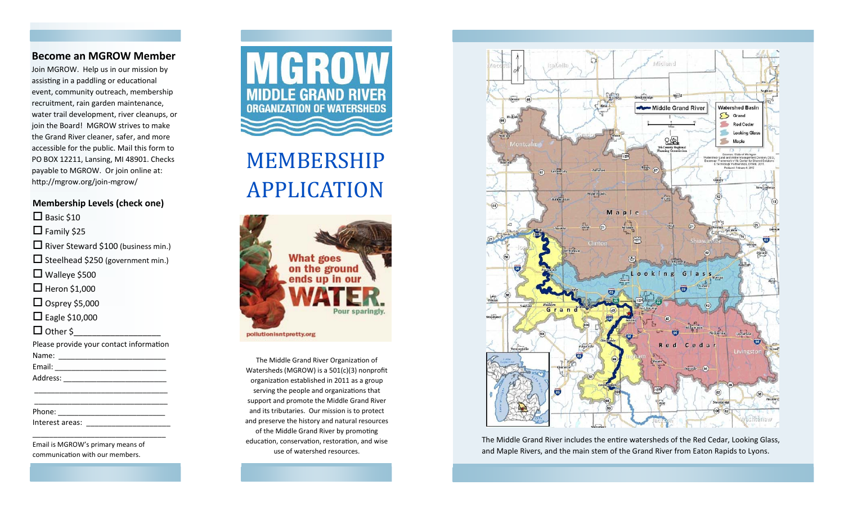#### **Become an MGROW Member**

Join MGROW. Help us in our mission by assisting in a paddling or educational event, community outreach, membership recruitment, rain garden maintenance, water trail development, river cleanups, or join the Board! MGROW strives to make the Grand River cleaner, safer, and more accessible for the public. Mail this form to PO BOX 12211, Lansing, MI 48901. Checks payable to MGROW. Or join online at: http://mgrow.org/join-mgrow/

#### **Membership Levels (check one)**

 $\Box$  Basic \$10  $\Box$  Family \$25  $\Box$  River Steward \$100 (business min.)  $\square$  Steelhead \$250 (government min.)  $\Box$  Walleye \$500  $\Box$  Heron \$1,000  $\Box$  Osprey \$5,000  $\Box$  Eagle \$10,000  $\Box$  Other \$ Please provide your contact information Name: \_\_\_\_\_\_\_\_\_\_\_\_\_\_\_\_\_\_\_\_\_\_\_\_\_\_ Email:  $\blacksquare$ Address: \_\_\_\_\_\_\_\_\_\_\_\_\_\_\_\_\_\_\_\_\_\_\_\_\_ \_\_\_\_\_\_\_\_\_\_\_\_\_\_\_\_\_\_\_\_\_\_\_\_\_\_\_\_\_\_\_\_ \_\_\_\_\_\_\_\_\_\_\_\_\_\_\_\_\_\_\_\_\_\_\_\_\_\_\_\_\_\_\_\_ Phone: Interest areas:

Email is MGROW's primary means of communication with our members.

\_\_\_\_\_\_\_\_\_\_\_\_\_\_\_\_\_\_\_\_\_\_\_\_\_\_\_\_\_\_\_\_



# MEMBERSHIP APPLICATION



The Middle Grand River Organization of Watersheds (MGROW) is a 501(c)(3) nonprofit organization established in 2011 as a group serving the people and organizations that support and promote the Middle Grand River and its tributaries. Our mission is to protect and preserve the history and natural resources of the Middle Grand River by promoting education, conservation, restoration, and wise use of watershed resources.



The Middle Grand River includes the entire watersheds of the Red Cedar, Looking Glass, and Maple Rivers, and the main stem of the Grand River from Eaton Rapids to Lyons.